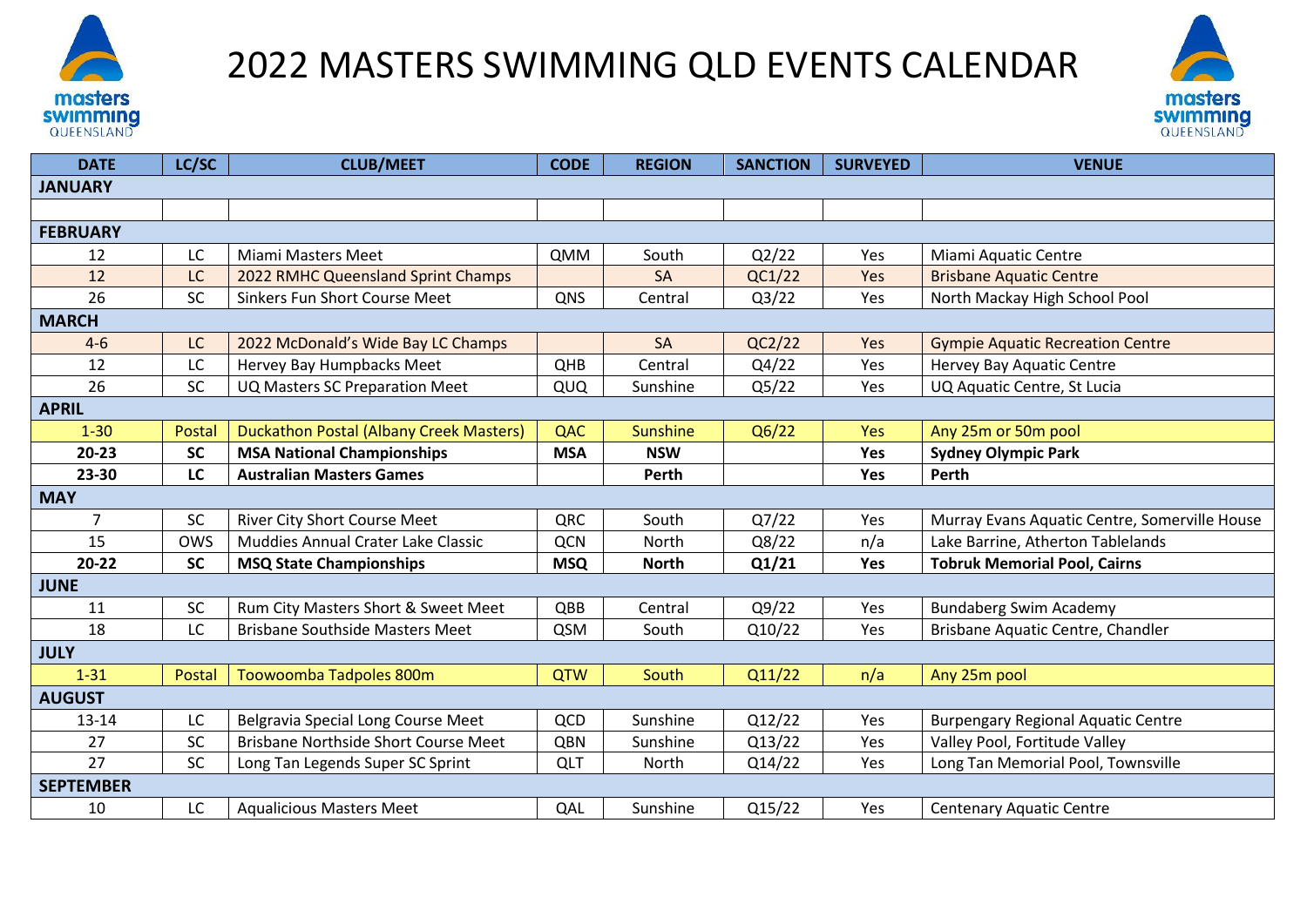

## 2022 MASTERS SWIMMING QLD EVENTS CALENDAR



| <b>DATE</b>      | LC/SC      | <b>CLUB/MEET</b>                               | <b>CODE</b> | <b>REGION</b>   | <b>SANCTION</b> | <b>SURVEYED</b> | <b>VENUE</b>                                  |
|------------------|------------|------------------------------------------------|-------------|-----------------|-----------------|-----------------|-----------------------------------------------|
| <b>JANUARY</b>   |            |                                                |             |                 |                 |                 |                                               |
|                  |            |                                                |             |                 |                 |                 |                                               |
| <b>FEBRUARY</b>  |            |                                                |             |                 |                 |                 |                                               |
| 12               | LC         | <b>Miami Masters Meet</b>                      | <b>QMM</b>  | South           | Q2/22           | Yes             | Miami Aquatic Centre                          |
| 12               | LC         | 2022 RMHC Queensland Sprint Champs             |             | SA              | QC1/22          | Yes             | <b>Brisbane Aquatic Centre</b>                |
| 26               | SC         | Sinkers Fun Short Course Meet                  | QNS         | Central         | Q3/22           | Yes             | North Mackay High School Pool                 |
| <b>MARCH</b>     |            |                                                |             |                 |                 |                 |                                               |
| $4 - 6$          | LC         | 2022 McDonald's Wide Bay LC Champs             |             | SA              | QC2/22          | Yes             | <b>Gympie Aquatic Recreation Centre</b>       |
| 12               | LC         | Hervey Bay Humpbacks Meet                      | QHB         | Central         | Q4/22           | Yes             | Hervey Bay Aquatic Centre                     |
| 26               | SC         | UQ Masters SC Preparation Meet                 | QUQ         | Sunshine        | Q5/22           | Yes             | UQ Aquatic Centre, St Lucia                   |
| <b>APRIL</b>     |            |                                                |             |                 |                 |                 |                                               |
| $1 - 30$         | Postal     | <b>Duckathon Postal (Albany Creek Masters)</b> | QAC         | <b>Sunshine</b> | Q6/22           | <b>Yes</b>      | Any 25m or 50m pool                           |
| $20 - 23$        | <b>SC</b>  | <b>MSA National Championships</b>              | <b>MSA</b>  | <b>NSW</b>      |                 | Yes             | <b>Sydney Olympic Park</b>                    |
| 23-30            | LC         | <b>Australian Masters Games</b>                |             | Perth           |                 | Yes             | Perth                                         |
| <b>MAY</b>       |            |                                                |             |                 |                 |                 |                                               |
| $\overline{7}$   | SC         | River City Short Course Meet                   | QRC         | South           | Q7/22           | Yes             | Murray Evans Aquatic Centre, Somerville House |
| 15               | <b>OWS</b> | Muddies Annual Crater Lake Classic             | <b>QCN</b>  | North           | Q8/22           | n/a             | Lake Barrine, Atherton Tablelands             |
| $20 - 22$        | <b>SC</b>  | <b>MSQ State Championships</b>                 | <b>MSQ</b>  | <b>North</b>    | Q1/21           | Yes             | <b>Tobruk Memorial Pool, Cairns</b>           |
| <b>JUNE</b>      |            |                                                |             |                 |                 |                 |                                               |
| 11               | SC         | Rum City Masters Short & Sweet Meet            | QBB         | Central         | Q9/22           | Yes             | <b>Bundaberg Swim Academy</b>                 |
| 18               | LC         | <b>Brisbane Southside Masters Meet</b>         | QSM         | South           | Q10/22          | Yes             | Brisbane Aquatic Centre, Chandler             |
| <b>JULY</b>      |            |                                                |             |                 |                 |                 |                                               |
| $1 - 31$         | Postal     | Toowoomba Tadpoles 800m                        | <b>QTW</b>  | South           | Q11/22          | n/a             | Any 25m pool                                  |
| <b>AUGUST</b>    |            |                                                |             |                 |                 |                 |                                               |
| 13-14            | LC         | Belgravia Special Long Course Meet             | QCD         | Sunshine        | Q12/22          | Yes             | <b>Burpengary Regional Aquatic Centre</b>     |
| 27               | <b>SC</b>  | Brisbane Northside Short Course Meet           | QBN         | Sunshine        | Q13/22          | Yes             | Valley Pool, Fortitude Valley                 |
| 27               | SC         | Long Tan Legends Super SC Sprint               | QLT         | North           | Q14/22          | Yes             | Long Tan Memorial Pool, Townsville            |
| <b>SEPTEMBER</b> |            |                                                |             |                 |                 |                 |                                               |
| 10               | LC         | <b>Aqualicious Masters Meet</b>                | QAL         | Sunshine        | Q15/22          | Yes             | <b>Centenary Aquatic Centre</b>               |